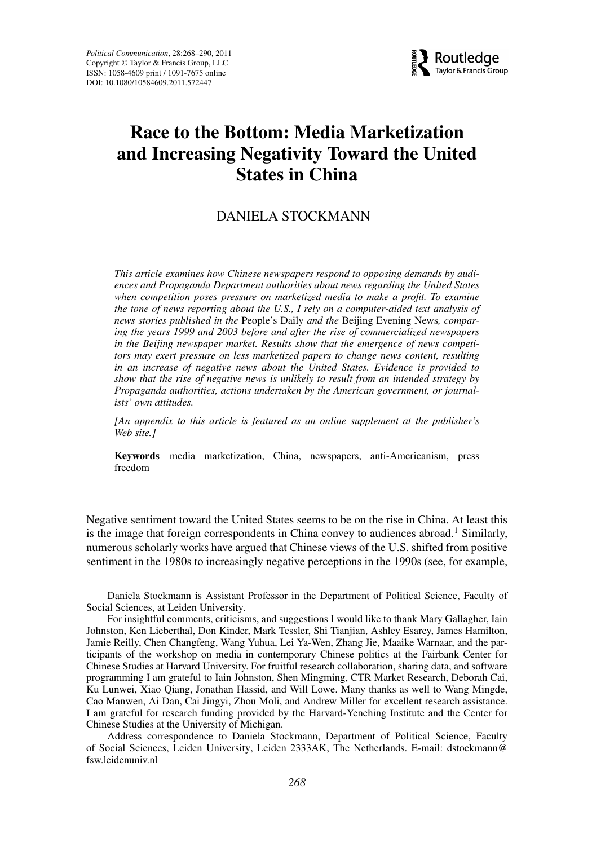

# **Race to the Bottom: Media Marketization and Increasing Negativity Toward the United States in China**

## DANIELA STOCKMANN

*This article examines how Chinese newspapers respond to opposing demands by audiences and Propaganda Department authorities about news regarding the United States when competition poses pressure on marketized media to make a profit. To examine the tone of news reporting about the U.S., I rely on a computer-aided text analysis of news stories published in the* People's Daily *and the* Beijing Evening News*, comparing the years 1999 and 2003 before and after the rise of commercialized newspapers in the Beijing newspaper market. Results show that the emergence of news competitors may exert pressure on less marketized papers to change news content, resulting in an increase of negative news about the United States. Evidence is provided to show that the rise of negative news is unlikely to result from an intended strategy by Propaganda authorities, actions undertaken by the American government, or journalists' own attitudes.*

*[An appendix to this article is featured as an online supplement at the publisher's Web site.]*

**Keywords** media marketization, China, newspapers, anti-Americanism, press freedom

Negative sentiment toward the United States seems to be on the rise in China. At least this is the image that foreign correspondents in China convey to audiences abroad.<sup>1</sup> Similarly, numerous scholarly works have argued that Chinese views of the U.S. shifted from positive sentiment in the 1980s to increasingly negative perceptions in the 1990s (see, for example,

Daniela Stockmann is Assistant Professor in the Department of Political Science, Faculty of Social Sciences, at Leiden University.

For insightful comments, criticisms, and suggestions I would like to thank Mary Gallagher, Iain Johnston, Ken Lieberthal, Don Kinder, Mark Tessler, Shi Tianjian, Ashley Esarey, James Hamilton, Jamie Reilly, Chen Changfeng, Wang Yuhua, Lei Ya-Wen, Zhang Jie, Maaike Warnaar, and the participants of the workshop on media in contemporary Chinese politics at the Fairbank Center for Chinese Studies at Harvard University. For fruitful research collaboration, sharing data, and software programming I am grateful to Iain Johnston, Shen Mingming, CTR Market Research, Deborah Cai, Ku Lunwei, Xiao Qiang, Jonathan Hassid, and Will Lowe. Many thanks as well to Wang Mingde, Cao Manwen, Ai Dan, Cai Jingyi, Zhou Moli, and Andrew Miller for excellent research assistance. I am grateful for research funding provided by the Harvard-Yenching Institute and the Center for Chinese Studies at the University of Michigan.

Address correspondence to Daniela Stockmann, Department of Political Science, Faculty of Social Sciences, Leiden University, Leiden 2333AK, The Netherlands. E-mail: dstockmann@ fsw.leidenuniv.nl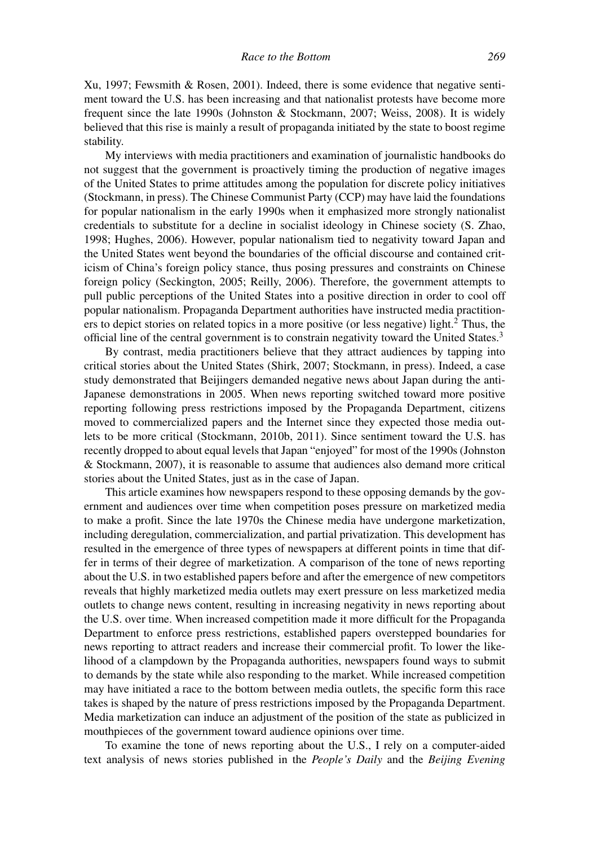Xu, 1997; Fewsmith & Rosen, 2001). Indeed, there is some evidence that negative sentiment toward the U.S. has been increasing and that nationalist protests have become more frequent since the late 1990s (Johnston & Stockmann, 2007; Weiss, 2008). It is widely believed that this rise is mainly a result of propaganda initiated by the state to boost regime stability.

My interviews with media practitioners and examination of journalistic handbooks do not suggest that the government is proactively timing the production of negative images of the United States to prime attitudes among the population for discrete policy initiatives (Stockmann, in press). The Chinese Communist Party (CCP) may have laid the foundations for popular nationalism in the early 1990s when it emphasized more strongly nationalist credentials to substitute for a decline in socialist ideology in Chinese society (S. Zhao, 1998; Hughes, 2006). However, popular nationalism tied to negativity toward Japan and the United States went beyond the boundaries of the official discourse and contained criticism of China's foreign policy stance, thus posing pressures and constraints on Chinese foreign policy (Seckington, 2005; Reilly, 2006). Therefore, the government attempts to pull public perceptions of the United States into a positive direction in order to cool off popular nationalism. Propaganda Department authorities have instructed media practitioners to depict stories on related topics in a more positive (or less negative) light.<sup>2</sup> Thus, the official line of the central government is to constrain negativity toward the United States.<sup>3</sup>

By contrast, media practitioners believe that they attract audiences by tapping into critical stories about the United States (Shirk, 2007; Stockmann, in press). Indeed, a case study demonstrated that Beijingers demanded negative news about Japan during the anti-Japanese demonstrations in 2005. When news reporting switched toward more positive reporting following press restrictions imposed by the Propaganda Department, citizens moved to commercialized papers and the Internet since they expected those media outlets to be more critical (Stockmann, 2010b, 2011). Since sentiment toward the U.S. has recently dropped to about equal levels that Japan "enjoyed" for most of the 1990s (Johnston & Stockmann, 2007), it is reasonable to assume that audiences also demand more critical stories about the United States, just as in the case of Japan.

This article examines how newspapers respond to these opposing demands by the government and audiences over time when competition poses pressure on marketized media to make a profit. Since the late 1970s the Chinese media have undergone marketization, including deregulation, commercialization, and partial privatization. This development has resulted in the emergence of three types of newspapers at different points in time that differ in terms of their degree of marketization. A comparison of the tone of news reporting about the U.S. in two established papers before and after the emergence of new competitors reveals that highly marketized media outlets may exert pressure on less marketized media outlets to change news content, resulting in increasing negativity in news reporting about the U.S. over time. When increased competition made it more difficult for the Propaganda Department to enforce press restrictions, established papers overstepped boundaries for news reporting to attract readers and increase their commercial profit. To lower the likelihood of a clampdown by the Propaganda authorities, newspapers found ways to submit to demands by the state while also responding to the market. While increased competition may have initiated a race to the bottom between media outlets, the specific form this race takes is shaped by the nature of press restrictions imposed by the Propaganda Department. Media marketization can induce an adjustment of the position of the state as publicized in mouthpieces of the government toward audience opinions over time.

To examine the tone of news reporting about the U.S., I rely on a computer-aided text analysis of news stories published in the *People's Daily* and the *Beijing Evening*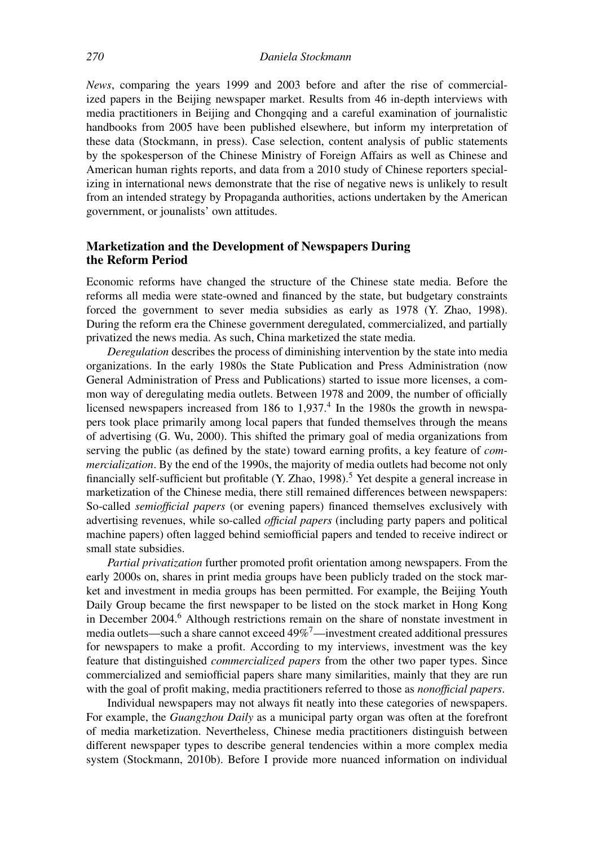*News*, comparing the years 1999 and 2003 before and after the rise of commercialized papers in the Beijing newspaper market. Results from 46 in-depth interviews with media practitioners in Beijing and Chongqing and a careful examination of journalistic handbooks from 2005 have been published elsewhere, but inform my interpretation of these data (Stockmann, in press). Case selection, content analysis of public statements by the spokesperson of the Chinese Ministry of Foreign Affairs as well as Chinese and American human rights reports, and data from a 2010 study of Chinese reporters specializing in international news demonstrate that the rise of negative news is unlikely to result from an intended strategy by Propaganda authorities, actions undertaken by the American government, or jounalists' own attitudes.

## **Marketization and the Development of Newspapers During the Reform Period**

Economic reforms have changed the structure of the Chinese state media. Before the reforms all media were state-owned and financed by the state, but budgetary constraints forced the government to sever media subsidies as early as 1978 (Y. Zhao, 1998). During the reform era the Chinese government deregulated, commercialized, and partially privatized the news media. As such, China marketized the state media.

*Deregulation* describes the process of diminishing intervention by the state into media organizations. In the early 1980s the State Publication and Press Administration (now General Administration of Press and Publications) started to issue more licenses, a common way of deregulating media outlets. Between 1978 and 2009, the number of officially licensed newspapers increased from  $186$  to  $1,937<sup>4</sup>$ . In the 1980s the growth in newspapers took place primarily among local papers that funded themselves through the means of advertising (G. Wu, 2000). This shifted the primary goal of media organizations from serving the public (as defined by the state) toward earning profits, a key feature of *commercialization*. By the end of the 1990s, the majority of media outlets had become not only financially self-sufficient but profitable (Y. Zhao, 1998).<sup>5</sup> Yet despite a general increase in marketization of the Chinese media, there still remained differences between newspapers: So-called *semiofficial papers* (or evening papers) financed themselves exclusively with advertising revenues, while so-called *official papers* (including party papers and political machine papers) often lagged behind semiofficial papers and tended to receive indirect or small state subsidies.

*Partial privatization* further promoted profit orientation among newspapers. From the early 2000s on, shares in print media groups have been publicly traded on the stock market and investment in media groups has been permitted. For example, the Beijing Youth Daily Group became the first newspaper to be listed on the stock market in Hong Kong in December 2004.<sup>6</sup> Although restrictions remain on the share of nonstate investment in media outlets—such a share cannot exceed 49%7—investment created additional pressures for newspapers to make a profit. According to my interviews, investment was the key feature that distinguished *commercialized papers* from the other two paper types. Since commercialized and semiofficial papers share many similarities, mainly that they are run with the goal of profit making, media practitioners referred to those as *nonofficial papers*.

Individual newspapers may not always fit neatly into these categories of newspapers. For example, the *Guangzhou Daily* as a municipal party organ was often at the forefront of media marketization. Nevertheless, Chinese media practitioners distinguish between different newspaper types to describe general tendencies within a more complex media system (Stockmann, 2010b). Before I provide more nuanced information on individual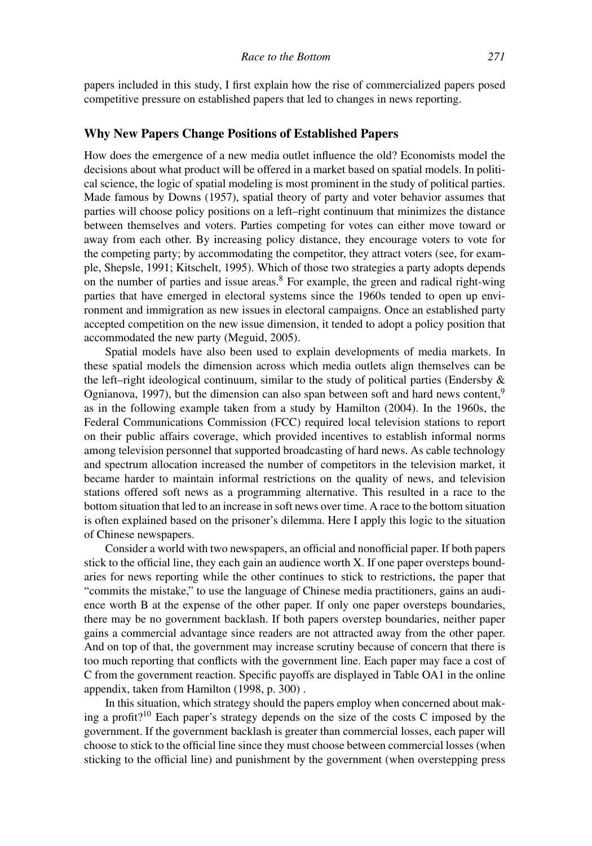papers included in this study, I first explain how the rise of commercialized papers posed competitive pressure on established papers that led to changes in news reporting.

### **Why New Papers Change Positions of Established Papers**

How does the emergence of a new media outlet influence the old? Economists model the decisions about what product will be offered in a market based on spatial models. In political science, the logic of spatial modeling is most prominent in the study of political parties. Made famous by Downs (1957), spatial theory of party and voter behavior assumes that parties will choose policy positions on a left–right continuum that minimizes the distance between themselves and voters. Parties competing for votes can either move toward or away from each other. By increasing policy distance, they encourage voters to vote for the competing party; by accommodating the competitor, they attract voters (see, for example, Shepsle, 1991; Kitschelt, 1995). Which of those two strategies a party adopts depends on the number of parties and issue areas.<sup>8</sup> For example, the green and radical right-wing parties that have emerged in electoral systems since the 1960s tended to open up environment and immigration as new issues in electoral campaigns. Once an established party accepted competition on the new issue dimension, it tended to adopt a policy position that accommodated the new party (Meguid, 2005).

Spatial models have also been used to explain developments of media markets. In these spatial models the dimension across which media outlets align themselves can be the left–right ideological continuum, similar to the study of political parties (Endersby  $\&$ Ognianova, 1997), but the dimension can also span between soft and hard news content,<sup>9</sup> as in the following example taken from a study by Hamilton (2004). In the 1960s, the Federal Communications Commission (FCC) required local television stations to report on their public affairs coverage, which provided incentives to establish informal norms among television personnel that supported broadcasting of hard news. As cable technology and spectrum allocation increased the number of competitors in the television market, it became harder to maintain informal restrictions on the quality of news, and television stations offered soft news as a programming alternative. This resulted in a race to the bottom situation that led to an increase in soft news over time. A race to the bottom situation is often explained based on the prisoner's dilemma. Here I apply this logic to the situation of Chinese newspapers.

Consider a world with two newspapers, an official and nonofficial paper. If both papers stick to the official line, they each gain an audience worth X. If one paper oversteps boundaries for news reporting while the other continues to stick to restrictions, the paper that "commits the mistake," to use the language of Chinese media practitioners, gains an audience worth B at the expense of the other paper. If only one paper oversteps boundaries, there may be no government backlash. If both papers overstep boundaries, neither paper gains a commercial advantage since readers are not attracted away from the other paper. And on top of that, the government may increase scrutiny because of concern that there is too much reporting that conflicts with the government line. Each paper may face a cost of C from the government reaction. Specific payoffs are displayed in Table OA1 in the online appendix, taken from Hamilton (1998, p. 300) .

In this situation, which strategy should the papers employ when concerned about making a profit?10 Each paper's strategy depends on the size of the costs C imposed by the government. If the government backlash is greater than commercial losses, each paper will choose to stick to the official line since they must choose between commercial losses (when sticking to the official line) and punishment by the government (when overstepping press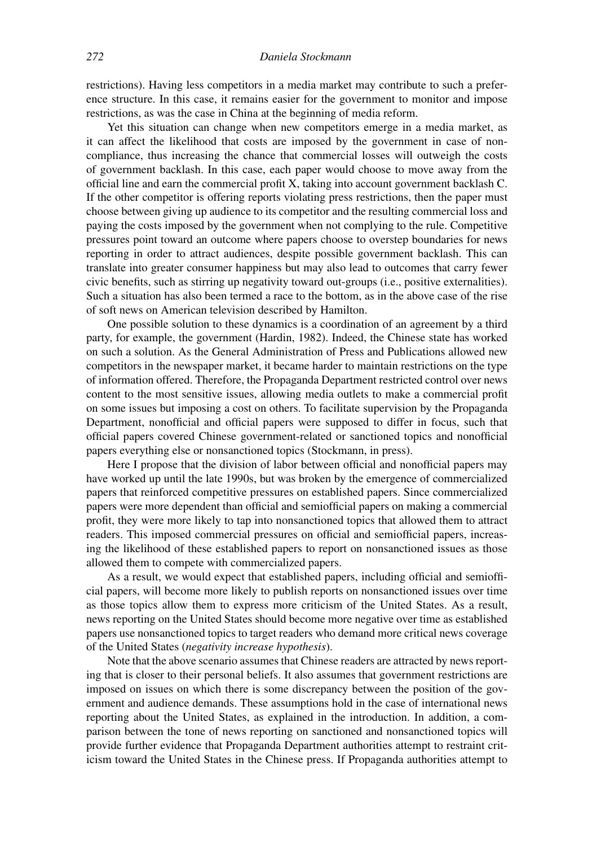restrictions). Having less competitors in a media market may contribute to such a preference structure. In this case, it remains easier for the government to monitor and impose restrictions, as was the case in China at the beginning of media reform.

Yet this situation can change when new competitors emerge in a media market, as it can affect the likelihood that costs are imposed by the government in case of noncompliance, thus increasing the chance that commercial losses will outweigh the costs of government backlash. In this case, each paper would choose to move away from the official line and earn the commercial profit X, taking into account government backlash C. If the other competitor is offering reports violating press restrictions, then the paper must choose between giving up audience to its competitor and the resulting commercial loss and paying the costs imposed by the government when not complying to the rule. Competitive pressures point toward an outcome where papers choose to overstep boundaries for news reporting in order to attract audiences, despite possible government backlash. This can translate into greater consumer happiness but may also lead to outcomes that carry fewer civic benefits, such as stirring up negativity toward out-groups (i.e., positive externalities). Such a situation has also been termed a race to the bottom, as in the above case of the rise of soft news on American television described by Hamilton.

One possible solution to these dynamics is a coordination of an agreement by a third party, for example, the government (Hardin, 1982). Indeed, the Chinese state has worked on such a solution. As the General Administration of Press and Publications allowed new competitors in the newspaper market, it became harder to maintain restrictions on the type of information offered. Therefore, the Propaganda Department restricted control over news content to the most sensitive issues, allowing media outlets to make a commercial profit on some issues but imposing a cost on others. To facilitate supervision by the Propaganda Department, nonofficial and official papers were supposed to differ in focus, such that official papers covered Chinese government-related or sanctioned topics and nonofficial papers everything else or nonsanctioned topics (Stockmann, in press).

Here I propose that the division of labor between official and nonofficial papers may have worked up until the late 1990s, but was broken by the emergence of commercialized papers that reinforced competitive pressures on established papers. Since commercialized papers were more dependent than official and semiofficial papers on making a commercial profit, they were more likely to tap into nonsanctioned topics that allowed them to attract readers. This imposed commercial pressures on official and semiofficial papers, increasing the likelihood of these established papers to report on nonsanctioned issues as those allowed them to compete with commercialized papers.

As a result, we would expect that established papers, including official and semiofficial papers, will become more likely to publish reports on nonsanctioned issues over time as those topics allow them to express more criticism of the United States. As a result, news reporting on the United States should become more negative over time as established papers use nonsanctioned topics to target readers who demand more critical news coverage of the United States (*negativity increase hypothesis*).

Note that the above scenario assumes that Chinese readers are attracted by news reporting that is closer to their personal beliefs. It also assumes that government restrictions are imposed on issues on which there is some discrepancy between the position of the government and audience demands. These assumptions hold in the case of international news reporting about the United States, as explained in the introduction. In addition, a comparison between the tone of news reporting on sanctioned and nonsanctioned topics will provide further evidence that Propaganda Department authorities attempt to restraint criticism toward the United States in the Chinese press. If Propaganda authorities attempt to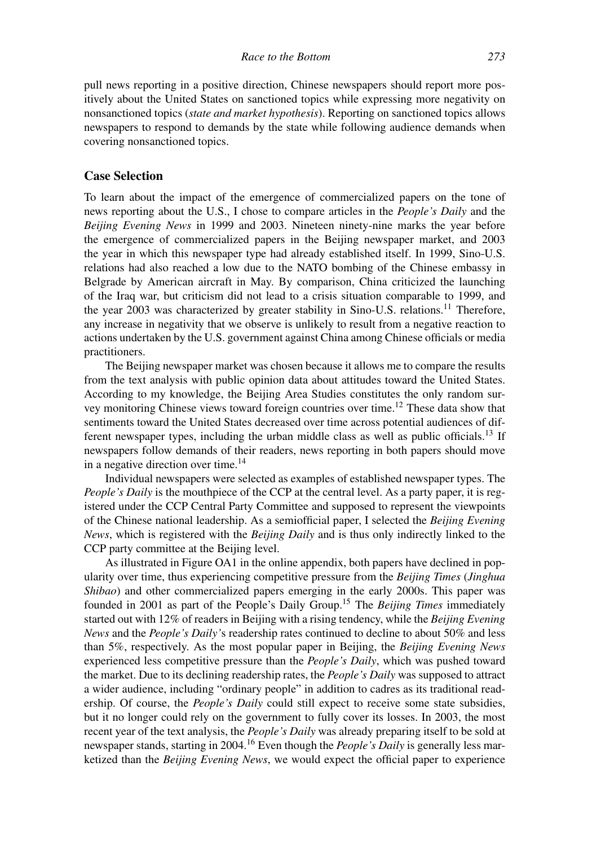pull news reporting in a positive direction, Chinese newspapers should report more positively about the United States on sanctioned topics while expressing more negativity on nonsanctioned topics (*state and market hypothesis*). Reporting on sanctioned topics allows newspapers to respond to demands by the state while following audience demands when covering nonsanctioned topics.

## **Case Selection**

To learn about the impact of the emergence of commercialized papers on the tone of news reporting about the U.S., I chose to compare articles in the *People's Daily* and the *Beijing Evening News* in 1999 and 2003. Nineteen ninety-nine marks the year before the emergence of commercialized papers in the Beijing newspaper market, and 2003 the year in which this newspaper type had already established itself. In 1999, Sino-U.S. relations had also reached a low due to the NATO bombing of the Chinese embassy in Belgrade by American aircraft in May. By comparison, China criticized the launching of the Iraq war, but criticism did not lead to a crisis situation comparable to 1999, and the year 2003 was characterized by greater stability in Sino-U.S. relations.<sup>11</sup> Therefore, any increase in negativity that we observe is unlikely to result from a negative reaction to actions undertaken by the U.S. government against China among Chinese officials or media practitioners.

The Beijing newspaper market was chosen because it allows me to compare the results from the text analysis with public opinion data about attitudes toward the United States. According to my knowledge, the Beijing Area Studies constitutes the only random survey monitoring Chinese views toward foreign countries over time.<sup>12</sup> These data show that sentiments toward the United States decreased over time across potential audiences of different newspaper types, including the urban middle class as well as public officials.<sup>13</sup> If newspapers follow demands of their readers, news reporting in both papers should move in a negative direction over time.<sup>14</sup>

Individual newspapers were selected as examples of established newspaper types. The *People's Daily* is the mouthpiece of the CCP at the central level. As a party paper, it is registered under the CCP Central Party Committee and supposed to represent the viewpoints of the Chinese national leadership. As a semiofficial paper, I selected the *Beijing Evening News*, which is registered with the *Beijing Daily* and is thus only indirectly linked to the CCP party committee at the Beijing level.

As illustrated in Figure OA1 in the online appendix, both papers have declined in popularity over time, thus experiencing competitive pressure from the *Beijing Times* (*Jinghua Shibao*) and other commercialized papers emerging in the early 2000s. This paper was founded in 2001 as part of the People's Daily Group.15 The *Beijing Times* immediately started out with 12% of readers in Beijing with a rising tendency, while the *Beijing Evening News* and the *People's Daily'*s readership rates continued to decline to about 50% and less than 5%, respectively. As the most popular paper in Beijing, the *Beijing Evening News* experienced less competitive pressure than the *People's Daily*, which was pushed toward the market. Due to its declining readership rates, the *People's Daily* was supposed to attract a wider audience, including "ordinary people" in addition to cadres as its traditional readership. Of course, the *People's Daily* could still expect to receive some state subsidies, but it no longer could rely on the government to fully cover its losses. In 2003, the most recent year of the text analysis, the *People's Daily* was already preparing itself to be sold at newspaper stands, starting in 2004.<sup>16</sup> Even though the *People's Daily* is generally less marketized than the *Beijing Evening News*, we would expect the official paper to experience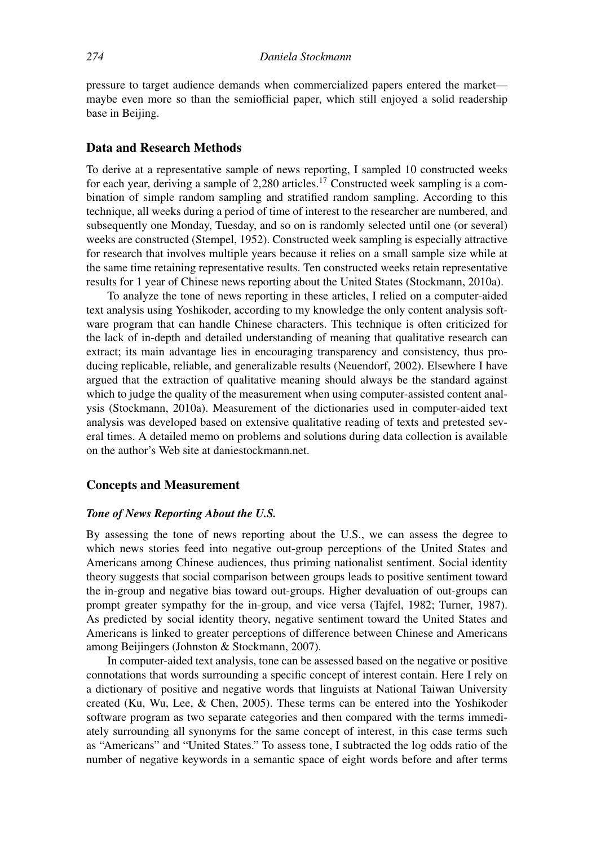pressure to target audience demands when commercialized papers entered the market maybe even more so than the semiofficial paper, which still enjoyed a solid readership base in Beijing.

## **Data and Research Methods**

To derive at a representative sample of news reporting, I sampled 10 constructed weeks for each year, deriving a sample of 2,280 articles.<sup>17</sup> Constructed week sampling is a combination of simple random sampling and stratified random sampling. According to this technique, all weeks during a period of time of interest to the researcher are numbered, and subsequently one Monday, Tuesday, and so on is randomly selected until one (or several) weeks are constructed (Stempel, 1952). Constructed week sampling is especially attractive for research that involves multiple years because it relies on a small sample size while at the same time retaining representative results. Ten constructed weeks retain representative results for 1 year of Chinese news reporting about the United States (Stockmann, 2010a).

To analyze the tone of news reporting in these articles, I relied on a computer-aided text analysis using Yoshikoder, according to my knowledge the only content analysis software program that can handle Chinese characters. This technique is often criticized for the lack of in-depth and detailed understanding of meaning that qualitative research can extract; its main advantage lies in encouraging transparency and consistency, thus producing replicable, reliable, and generalizable results (Neuendorf, 2002). Elsewhere I have argued that the extraction of qualitative meaning should always be the standard against which to judge the quality of the measurement when using computer-assisted content analysis (Stockmann, 2010a). Measurement of the dictionaries used in computer-aided text analysis was developed based on extensive qualitative reading of texts and pretested several times. A detailed memo on problems and solutions during data collection is available on the author's Web site at daniestockmann.net.

## **Concepts and Measurement**

#### *Tone of News Reporting About the U.S.*

By assessing the tone of news reporting about the U.S., we can assess the degree to which news stories feed into negative out-group perceptions of the United States and Americans among Chinese audiences, thus priming nationalist sentiment. Social identity theory suggests that social comparison between groups leads to positive sentiment toward the in-group and negative bias toward out-groups. Higher devaluation of out-groups can prompt greater sympathy for the in-group, and vice versa (Tajfel, 1982; Turner, 1987). As predicted by social identity theory, negative sentiment toward the United States and Americans is linked to greater perceptions of difference between Chinese and Americans among Beijingers (Johnston & Stockmann, 2007).

In computer-aided text analysis, tone can be assessed based on the negative or positive connotations that words surrounding a specific concept of interest contain. Here I rely on a dictionary of positive and negative words that linguists at National Taiwan University created (Ku, Wu, Lee, & Chen, 2005). These terms can be entered into the Yoshikoder software program as two separate categories and then compared with the terms immediately surrounding all synonyms for the same concept of interest, in this case terms such as "Americans" and "United States." To assess tone, I subtracted the log odds ratio of the number of negative keywords in a semantic space of eight words before and after terms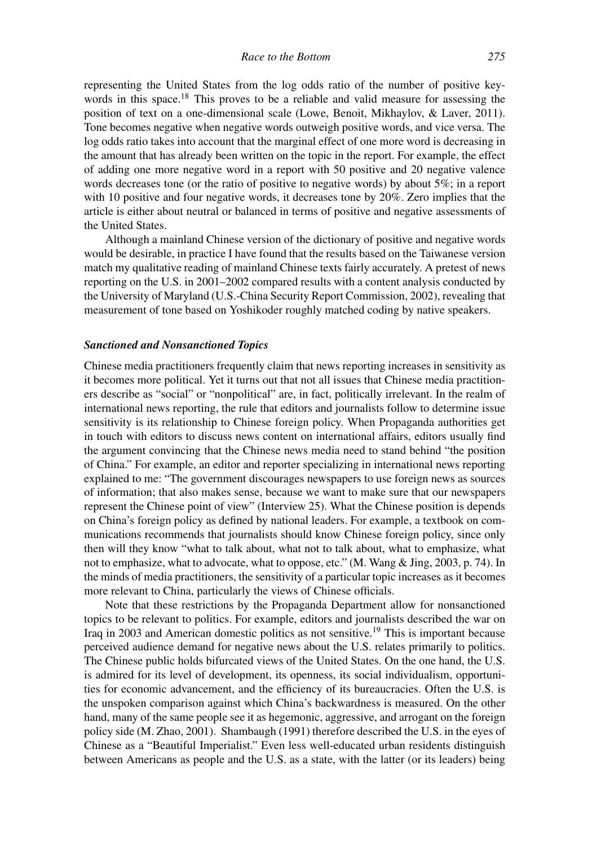representing the United States from the log odds ratio of the number of positive keywords in this space.<sup>18</sup> This proves to be a reliable and valid measure for assessing the position of text on a one-dimensional scale (Lowe, Benoit, Mikhaylov, & Laver, 2011). Tone becomes negative when negative words outweigh positive words, and vice versa. The log odds ratio takes into account that the marginal effect of one more word is decreasing in the amount that has already been written on the topic in the report. For example, the effect of adding one more negative word in a report with 50 positive and 20 negative valence words decreases tone (or the ratio of positive to negative words) by about 5%; in a report with 10 positive and four negative words, it decreases tone by 20%. Zero implies that the article is either about neutral or balanced in terms of positive and negative assessments of the United States.

Although a mainland Chinese version of the dictionary of positive and negative words would be desirable, in practice I have found that the results based on the Taiwanese version match my qualitative reading of mainland Chinese texts fairly accurately. A pretest of news reporting on the U.S. in 2001–2002 compared results with a content analysis conducted by the University of Maryland (U.S.-China Security Report Commission, 2002), revealing that measurement of tone based on Yoshikoder roughly matched coding by native speakers.

#### *Sanctioned and Nonsanctioned Topics*

Chinese media practitioners frequently claim that news reporting increases in sensitivity as it becomes more political. Yet it turns out that not all issues that Chinese media practitioners describe as "social" or "nonpolitical" are, in fact, politically irrelevant. In the realm of international news reporting, the rule that editors and journalists follow to determine issue sensitivity is its relationship to Chinese foreign policy. When Propaganda authorities get in touch with editors to discuss news content on international affairs, editors usually find the argument convincing that the Chinese news media need to stand behind "the position of China." For example, an editor and reporter specializing in international news reporting explained to me: "The government discourages newspapers to use foreign news as sources of information; that also makes sense, because we want to make sure that our newspapers represent the Chinese point of view" (Interview 25). What the Chinese position is depends on China's foreign policy as defined by national leaders. For example, a textbook on communications recommends that journalists should know Chinese foreign policy, since only then will they know "what to talk about, what not to talk about, what to emphasize, what not to emphasize, what to advocate, what to oppose, etc." (M. Wang & Jing, 2003, p. 74). In the minds of media practitioners, the sensitivity of a particular topic increases as it becomes more relevant to China, particularly the views of Chinese officials.

Note that these restrictions by the Propaganda Department allow for nonsanctioned topics to be relevant to politics. For example, editors and journalists described the war on Iraq in 2003 and American domestic politics as not sensitive.19 This is important because perceived audience demand for negative news about the U.S. relates primarily to politics. The Chinese public holds bifurcated views of the United States. On the one hand, the U.S. is admired for its level of development, its openness, its social individualism, opportunities for economic advancement, and the efficiency of its bureaucracies. Often the U.S. is the unspoken comparison against which China's backwardness is measured. On the other hand, many of the same people see it as hegemonic, aggressive, and arrogant on the foreign policy side (M. Zhao, 2001). Shambaugh (1991) therefore described the U.S. in the eyes of Chinese as a "Beautiful Imperialist." Even less well-educated urban residents distinguish between Americans as people and the U.S. as a state, with the latter (or its leaders) being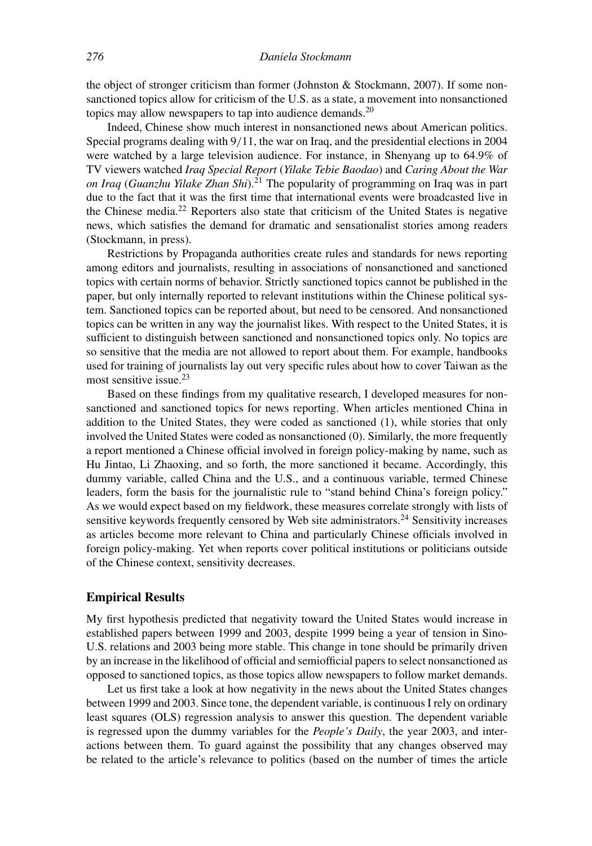the object of stronger criticism than former (Johnston & Stockmann, 2007). If some nonsanctioned topics allow for criticism of the U.S. as a state, a movement into nonsanctioned topics may allow newspapers to tap into audience demands.<sup>20</sup>

Indeed, Chinese show much interest in nonsanctioned news about American politics. Special programs dealing with 9/11, the war on Iraq, and the presidential elections in 2004 were watched by a large television audience. For instance, in Shenyang up to 64.9% of TV viewers watched *Iraq Special Report* (*Yilake Tebie Baodao*) and *Caring About the War on Iraq* (*Guanzhu Yilake Zhan Shi*).<sup>21</sup> The popularity of programming on Iraq was in part due to the fact that it was the first time that international events were broadcasted live in the Chinese media.<sup>22</sup> Reporters also state that criticism of the United States is negative news, which satisfies the demand for dramatic and sensationalist stories among readers (Stockmann, in press).

Restrictions by Propaganda authorities create rules and standards for news reporting among editors and journalists, resulting in associations of nonsanctioned and sanctioned topics with certain norms of behavior. Strictly sanctioned topics cannot be published in the paper, but only internally reported to relevant institutions within the Chinese political system. Sanctioned topics can be reported about, but need to be censored. And nonsanctioned topics can be written in any way the journalist likes. With respect to the United States, it is sufficient to distinguish between sanctioned and nonsanctioned topics only. No topics are so sensitive that the media are not allowed to report about them. For example, handbooks used for training of journalists lay out very specific rules about how to cover Taiwan as the most sensitive issue.<sup>23</sup>

Based on these findings from my qualitative research, I developed measures for nonsanctioned and sanctioned topics for news reporting. When articles mentioned China in addition to the United States, they were coded as sanctioned (1), while stories that only involved the United States were coded as nonsanctioned (0). Similarly, the more frequently a report mentioned a Chinese official involved in foreign policy-making by name, such as Hu Jintao, Li Zhaoxing, and so forth, the more sanctioned it became. Accordingly, this dummy variable, called China and the U.S., and a continuous variable, termed Chinese leaders, form the basis for the journalistic rule to "stand behind China's foreign policy." As we would expect based on my fieldwork, these measures correlate strongly with lists of sensitive keywords frequently censored by Web site administrators.<sup>24</sup> Sensitivity increases as articles become more relevant to China and particularly Chinese officials involved in foreign policy-making. Yet when reports cover political institutions or politicians outside of the Chinese context, sensitivity decreases.

## **Empirical Results**

My first hypothesis predicted that negativity toward the United States would increase in established papers between 1999 and 2003, despite 1999 being a year of tension in Sino-U.S. relations and 2003 being more stable. This change in tone should be primarily driven by an increase in the likelihood of official and semiofficial papers to select nonsanctioned as opposed to sanctioned topics, as those topics allow newspapers to follow market demands.

Let us first take a look at how negativity in the news about the United States changes between 1999 and 2003. Since tone, the dependent variable, is continuous I rely on ordinary least squares (OLS) regression analysis to answer this question. The dependent variable is regressed upon the dummy variables for the *People's Daily*, the year 2003, and interactions between them. To guard against the possibility that any changes observed may be related to the article's relevance to politics (based on the number of times the article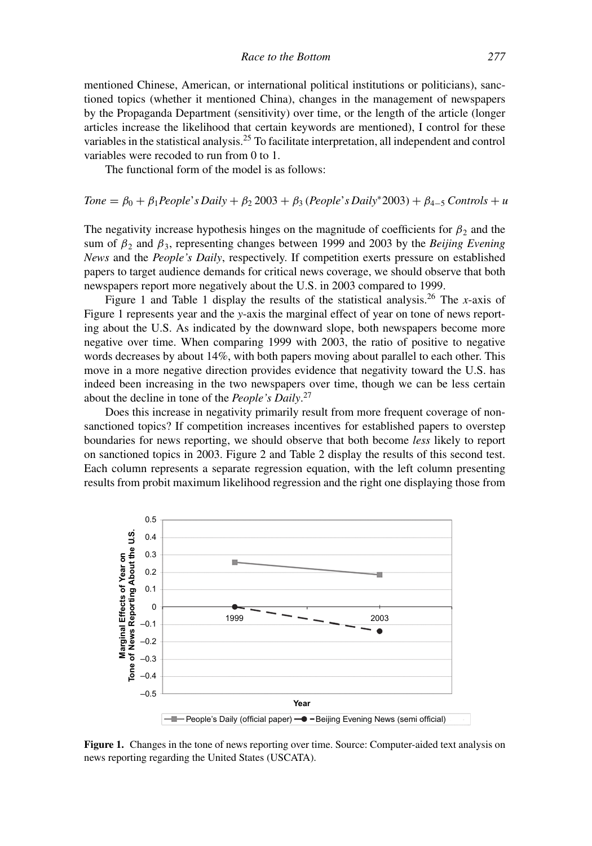mentioned Chinese, American, or international political institutions or politicians), sanctioned topics (whether it mentioned China), changes in the management of newspapers by the Propaganda Department (sensitivity) over time, or the length of the article (longer articles increase the likelihood that certain keywords are mentioned), I control for these variables in the statistical analysis.25 To facilitate interpretation, all independent and control variables were recoded to run from 0 to 1.

The functional form of the model is as follows:

$$
Tone = \beta_0 + \beta_1 People's Daily + \beta_2 2003 + \beta_3 (People's Daily*2003) + \beta_{4-5} Controls + u
$$

The negativity increase hypothesis hinges on the magnitude of coefficients for  $\beta_2$  and the sum of  $\beta_2$  and  $\beta_3$ , representing changes between 1999 and 2003 by the *Beijing Evening News* and the *People's Daily*, respectively. If competition exerts pressure on established papers to target audience demands for critical news coverage, we should observe that both newspapers report more negatively about the U.S. in 2003 compared to 1999.

Figure 1 and Table 1 display the results of the statistical analysis.<sup>26</sup> The *x*-axis of Figure 1 represents year and the *y*-axis the marginal effect of year on tone of news reporting about the U.S. As indicated by the downward slope, both newspapers become more negative over time. When comparing 1999 with 2003, the ratio of positive to negative words decreases by about 14%, with both papers moving about parallel to each other. This move in a more negative direction provides evidence that negativity toward the U.S. has indeed been increasing in the two newspapers over time, though we can be less certain about the decline in tone of the *People's Daily*. 27

Does this increase in negativity primarily result from more frequent coverage of nonsanctioned topics? If competition increases incentives for established papers to overstep boundaries for news reporting, we should observe that both become *less* likely to report on sanctioned topics in 2003. Figure 2 and Table 2 display the results of this second test. Each column represents a separate regression equation, with the left column presenting results from probit maximum likelihood regression and the right one displaying those from



**Figure 1.** Changes in the tone of news reporting over time. Source: Computer-aided text analysis on news reporting regarding the United States (USCATA).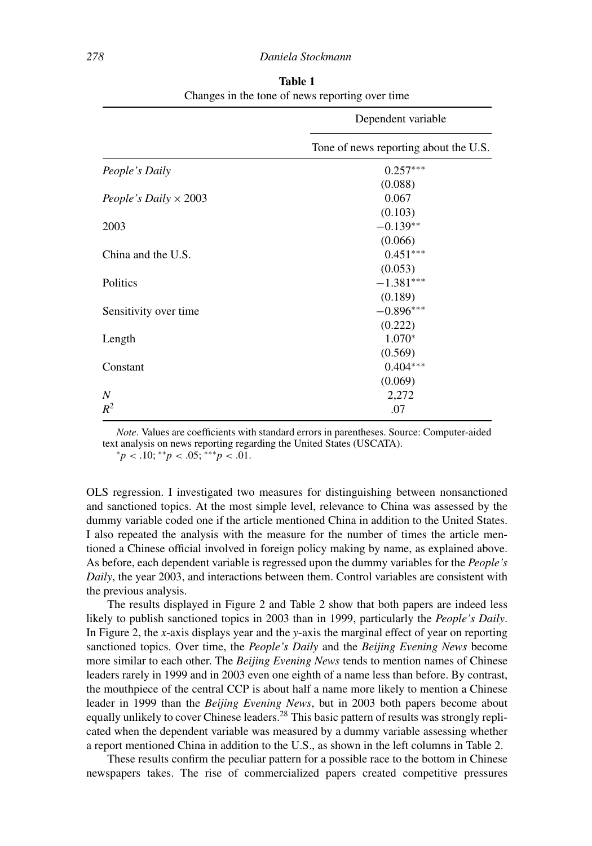|                              | Dependent variable                    |  |
|------------------------------|---------------------------------------|--|
|                              | Tone of news reporting about the U.S. |  |
| People's Daily               | $0.257***$                            |  |
|                              | (0.088)                               |  |
| People's Daily $\times$ 2003 | 0.067                                 |  |
|                              | (0.103)                               |  |
| 2003                         | $-0.139**$                            |  |
|                              | (0.066)                               |  |
| China and the U.S.           | $0.451***$                            |  |
|                              | (0.053)                               |  |
| Politics                     | $-1.381***$                           |  |
|                              | (0.189)                               |  |
| Sensitivity over time        | $-0.896***$                           |  |
|                              | (0.222)                               |  |
| Length                       | $1.070*$                              |  |
|                              | (0.569)                               |  |
| Constant                     | $0.404***$                            |  |
|                              | (0.069)                               |  |
| $\boldsymbol{N}$             | 2,272                                 |  |
| $R^2$                        | .07                                   |  |

**Table 1** Changes in the tone of news reporting over time

*Note*. Values are coefficients with standard errors in parentheses. Source: Computer-aided text analysis on news reporting regarding the United States (USCATA).

<sup>∗</sup>*p* < .10; ∗∗*p* < .05; ∗∗∗*p* < .01.

OLS regression. I investigated two measures for distinguishing between nonsanctioned and sanctioned topics. At the most simple level, relevance to China was assessed by the dummy variable coded one if the article mentioned China in addition to the United States. I also repeated the analysis with the measure for the number of times the article mentioned a Chinese official involved in foreign policy making by name, as explained above. As before, each dependent variable is regressed upon the dummy variables for the *People's Daily*, the year 2003, and interactions between them. Control variables are consistent with the previous analysis.

The results displayed in Figure 2 and Table 2 show that both papers are indeed less likely to publish sanctioned topics in 2003 than in 1999, particularly the *People's Daily*. In Figure 2, the *x*-axis displays year and the *y*-axis the marginal effect of year on reporting sanctioned topics. Over time, the *People's Daily* and the *Beijing Evening News* become more similar to each other. The *Beijing Evening News* tends to mention names of Chinese leaders rarely in 1999 and in 2003 even one eighth of a name less than before. By contrast, the mouthpiece of the central CCP is about half a name more likely to mention a Chinese leader in 1999 than the *Beijing Evening News*, but in 2003 both papers become about equally unlikely to cover Chinese leaders.<sup>28</sup> This basic pattern of results was strongly replicated when the dependent variable was measured by a dummy variable assessing whether a report mentioned China in addition to the U.S., as shown in the left columns in Table 2.

These results confirm the peculiar pattern for a possible race to the bottom in Chinese newspapers takes. The rise of commercialized papers created competitive pressures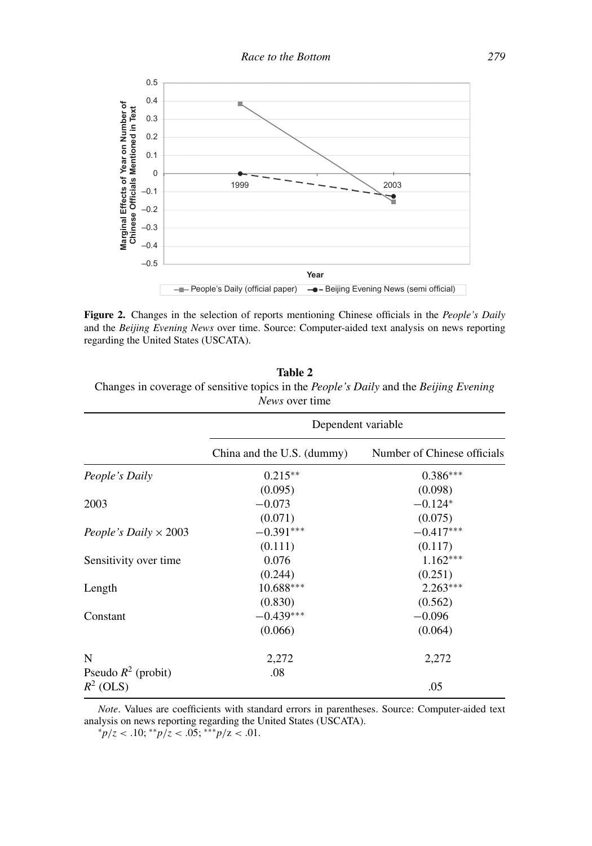

**Figure 2.** Changes in the selection of reports mentioning Chinese officials in the *People's Daily* and the *Beijing Evening News* over time. Source: Computer-aided text analysis on news reporting regarding the United States (USCATA).

|                                     | Dependent variable         |                             |
|-------------------------------------|----------------------------|-----------------------------|
|                                     | China and the U.S. (dummy) | Number of Chinese officials |
| People's Daily                      | $0.215**$                  | $0.386***$                  |
|                                     | (0.095)                    | (0.098)                     |
| 2003                                | $-0.073$                   | $-0.124*$                   |
|                                     | (0.071)                    | (0.075)                     |
| <i>People's Daily</i> $\times$ 2003 | $-0.391***$                | $-0.417***$                 |
|                                     | (0.111)                    | (0.117)                     |
| Sensitivity over time.              | 0.076                      | $1.162***$                  |
|                                     | (0.244)                    | (0.251)                     |
| Length                              | $10.688***$                | $2.263***$                  |
|                                     | (0.830)                    | (0.562)                     |
| Constant                            | $-0.439***$                | $-0.096$                    |
|                                     | (0.066)                    | (0.064)                     |
| N                                   | 2,272                      | 2,272                       |
| Pseudo $R^2$ (probit)               | .08                        |                             |
| $R^2$ (OLS)                         |                            | .05                         |

**Table 2** Changes in coverage of sensitive topics in the *People's Daily* and the *Beijing Evening News* over time

*Note*. Values are coefficients with standard errors in parentheses. Source: Computer-aided text analysis on news reporting regarding the United States (USCATA).

<sup>∗</sup>*p*/*z* < .10; ∗∗*p*/*z* < .05; ∗∗∗*p*/z < .01.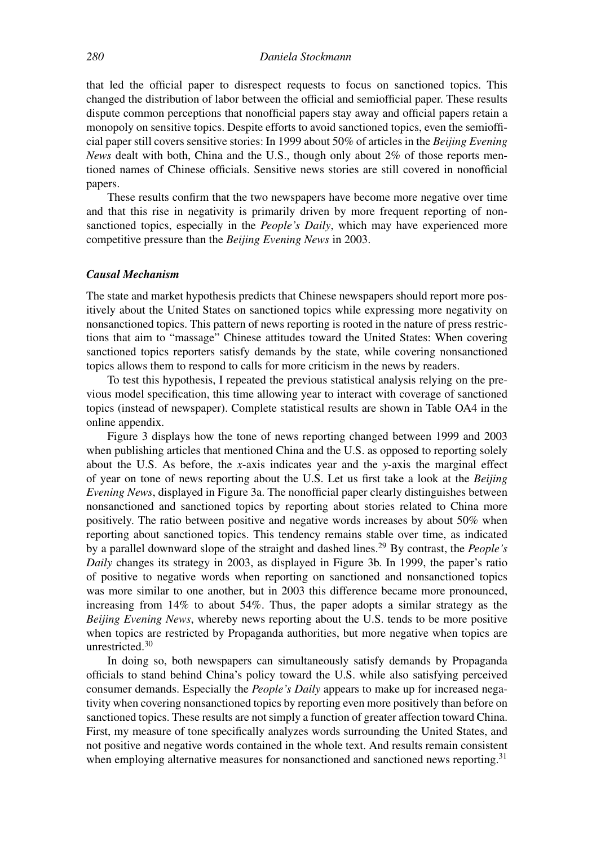that led the official paper to disrespect requests to focus on sanctioned topics. This changed the distribution of labor between the official and semiofficial paper. These results dispute common perceptions that nonofficial papers stay away and official papers retain a monopoly on sensitive topics. Despite efforts to avoid sanctioned topics, even the semiofficial paper still covers sensitive stories: In 1999 about 50% of articles in the *Beijing Evening News* dealt with both, China and the U.S., though only about 2% of those reports mentioned names of Chinese officials. Sensitive news stories are still covered in nonofficial papers.

These results confirm that the two newspapers have become more negative over time and that this rise in negativity is primarily driven by more frequent reporting of nonsanctioned topics, especially in the *People's Daily*, which may have experienced more competitive pressure than the *Beijing Evening News* in 2003.

#### *Causal Mechanism*

The state and market hypothesis predicts that Chinese newspapers should report more positively about the United States on sanctioned topics while expressing more negativity on nonsanctioned topics. This pattern of news reporting is rooted in the nature of press restrictions that aim to "massage" Chinese attitudes toward the United States: When covering sanctioned topics reporters satisfy demands by the state, while covering nonsanctioned topics allows them to respond to calls for more criticism in the news by readers.

To test this hypothesis, I repeated the previous statistical analysis relying on the previous model specification, this time allowing year to interact with coverage of sanctioned topics (instead of newspaper). Complete statistical results are shown in Table OA4 in the online appendix.

Figure 3 displays how the tone of news reporting changed between 1999 and 2003 when publishing articles that mentioned China and the U.S. as opposed to reporting solely about the U.S. As before, the *x*-axis indicates year and the *y*-axis the marginal effect of year on tone of news reporting about the U.S. Let us first take a look at the *Beijing Evening News*, displayed in Figure 3a. The nonofficial paper clearly distinguishes between nonsanctioned and sanctioned topics by reporting about stories related to China more positively. The ratio between positive and negative words increases by about 50% when reporting about sanctioned topics. This tendency remains stable over time, as indicated by a parallel downward slope of the straight and dashed lines.<sup>29</sup> By contrast, the *People's Daily* changes its strategy in 2003, as displayed in Figure 3b. In 1999, the paper's ratio of positive to negative words when reporting on sanctioned and nonsanctioned topics was more similar to one another, but in 2003 this difference became more pronounced, increasing from 14% to about 54%. Thus, the paper adopts a similar strategy as the *Beijing Evening News*, whereby news reporting about the U.S. tends to be more positive when topics are restricted by Propaganda authorities, but more negative when topics are unrestricted.<sup>30</sup>

In doing so, both newspapers can simultaneously satisfy demands by Propaganda officials to stand behind China's policy toward the U.S. while also satisfying perceived consumer demands. Especially the *People's Daily* appears to make up for increased negativity when covering nonsanctioned topics by reporting even more positively than before on sanctioned topics. These results are not simply a function of greater affection toward China. First, my measure of tone specifically analyzes words surrounding the United States, and not positive and negative words contained in the whole text. And results remain consistent when employing alternative measures for nonsanctioned and sanctioned news reporting.<sup>31</sup>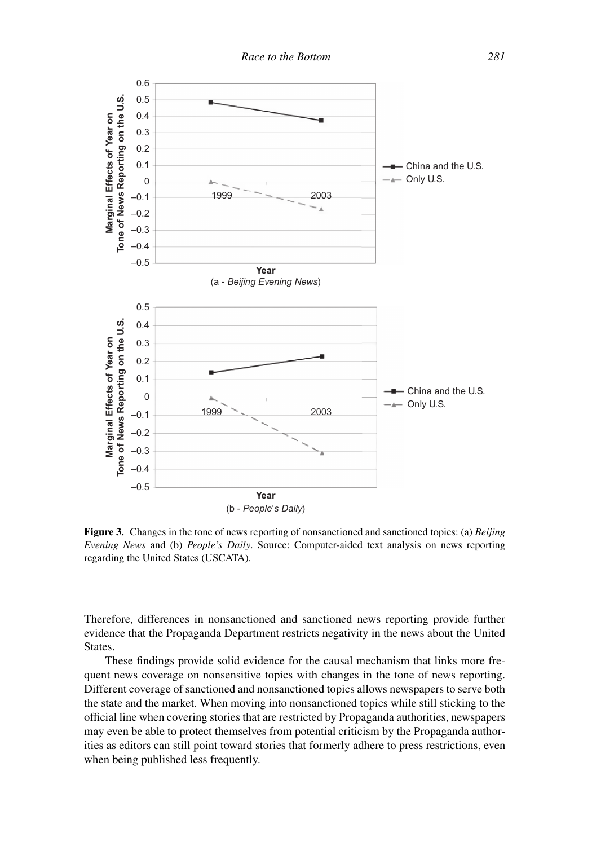

**Figure 3.** Changes in the tone of news reporting of nonsanctioned and sanctioned topics: (a) *Beijing Evening News* and (b) *People's Daily*. Source: Computer-aided text analysis on news reporting regarding the United States (USCATA).

Therefore, differences in nonsanctioned and sanctioned news reporting provide further evidence that the Propaganda Department restricts negativity in the news about the United States.

These findings provide solid evidence for the causal mechanism that links more frequent news coverage on nonsensitive topics with changes in the tone of news reporting. Different coverage of sanctioned and nonsanctioned topics allows newspapers to serve both the state and the market. When moving into nonsanctioned topics while still sticking to the official line when covering stories that are restricted by Propaganda authorities, newspapers may even be able to protect themselves from potential criticism by the Propaganda authorities as editors can still point toward stories that formerly adhere to press restrictions, even when being published less frequently.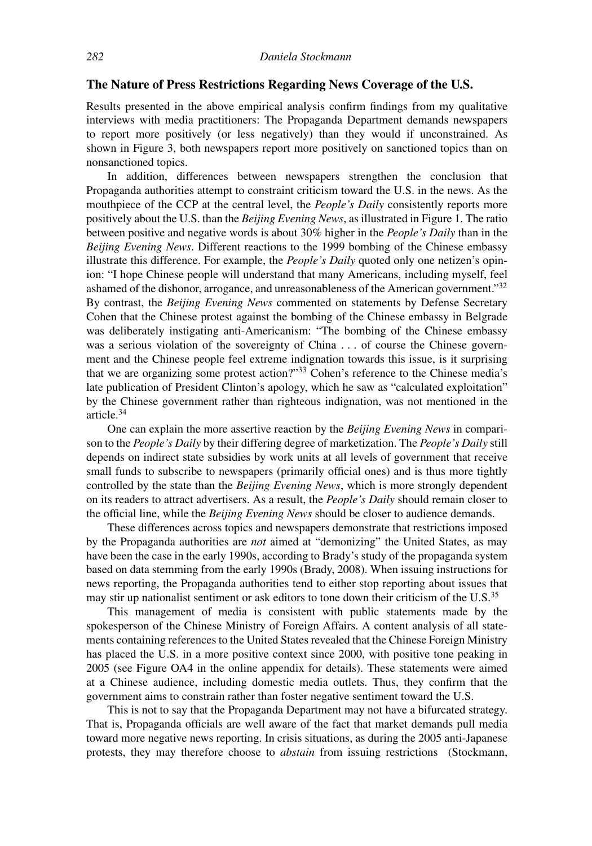## **The Nature of Press Restrictions Regarding News Coverage of the U.S.**

Results presented in the above empirical analysis confirm findings from my qualitative interviews with media practitioners: The Propaganda Department demands newspapers to report more positively (or less negatively) than they would if unconstrained. As shown in Figure 3, both newspapers report more positively on sanctioned topics than on nonsanctioned topics.

In addition, differences between newspapers strengthen the conclusion that Propaganda authorities attempt to constraint criticism toward the U.S. in the news. As the mouthpiece of the CCP at the central level, the *People's Daily* consistently reports more positively about the U.S. than the *Beijing Evening News*, as illustrated in Figure 1. The ratio between positive and negative words is about 30% higher in the *People's Daily* than in the *Beijing Evening News*. Different reactions to the 1999 bombing of the Chinese embassy illustrate this difference. For example, the *People's Daily* quoted only one netizen's opinion: "I hope Chinese people will understand that many Americans, including myself, feel ashamed of the dishonor, arrogance, and unreasonableness of the American government."32 By contrast, the *Beijing Evening News* commented on statements by Defense Secretary Cohen that the Chinese protest against the bombing of the Chinese embassy in Belgrade was deliberately instigating anti-Americanism: "The bombing of the Chinese embassy was a serious violation of the sovereignty of China ... of course the Chinese government and the Chinese people feel extreme indignation towards this issue, is it surprising that we are organizing some protest action?"<sup>33</sup> Cohen's reference to the Chinese media's late publication of President Clinton's apology, which he saw as "calculated exploitation" by the Chinese government rather than righteous indignation, was not mentioned in the article.34

One can explain the more assertive reaction by the *Beijing Evening News* in comparison to the *People's Daily* by their differing degree of marketization. The *People's Daily* still depends on indirect state subsidies by work units at all levels of government that receive small funds to subscribe to newspapers (primarily official ones) and is thus more tightly controlled by the state than the *Beijing Evening News*, which is more strongly dependent on its readers to attract advertisers. As a result, the *People's Daily* should remain closer to the official line, while the *Beijing Evening News* should be closer to audience demands.

These differences across topics and newspapers demonstrate that restrictions imposed by the Propaganda authorities are *not* aimed at "demonizing" the United States, as may have been the case in the early 1990s, according to Brady's study of the propaganda system based on data stemming from the early 1990s (Brady, 2008). When issuing instructions for news reporting, the Propaganda authorities tend to either stop reporting about issues that may stir up nationalist sentiment or ask editors to tone down their criticism of the U.S.<sup>35</sup>

This management of media is consistent with public statements made by the spokesperson of the Chinese Ministry of Foreign Affairs. A content analysis of all statements containing references to the United States revealed that the Chinese Foreign Ministry has placed the U.S. in a more positive context since 2000, with positive tone peaking in 2005 (see Figure OA4 in the online appendix for details). These statements were aimed at a Chinese audience, including domestic media outlets. Thus, they confirm that the government aims to constrain rather than foster negative sentiment toward the U.S.

This is not to say that the Propaganda Department may not have a bifurcated strategy. That is, Propaganda officials are well aware of the fact that market demands pull media toward more negative news reporting. In crisis situations, as during the 2005 anti-Japanese protests, they may therefore choose to *abstain* from issuing restrictions (Stockmann,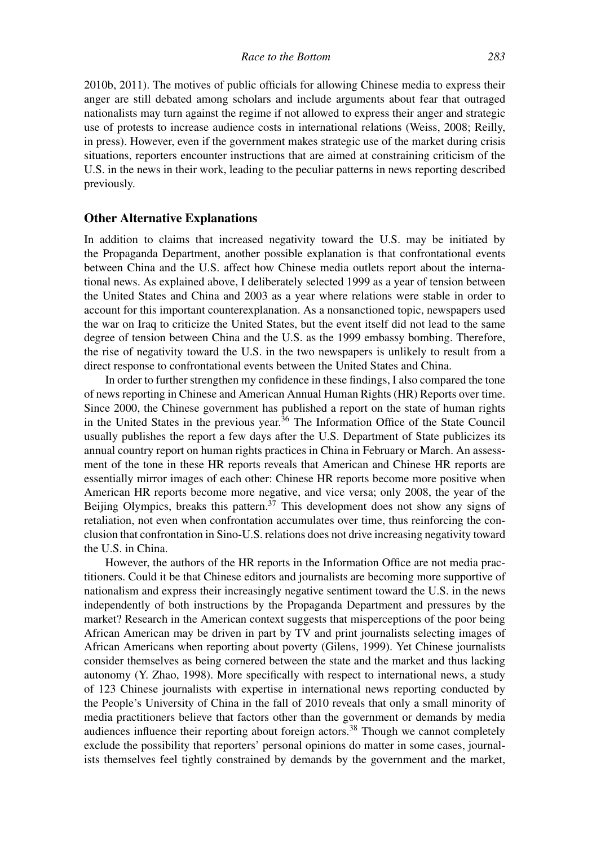2010b, 2011). The motives of public officials for allowing Chinese media to express their anger are still debated among scholars and include arguments about fear that outraged nationalists may turn against the regime if not allowed to express their anger and strategic use of protests to increase audience costs in international relations (Weiss, 2008; Reilly, in press). However, even if the government makes strategic use of the market during crisis situations, reporters encounter instructions that are aimed at constraining criticism of the U.S. in the news in their work, leading to the peculiar patterns in news reporting described previously.

## **Other Alternative Explanations**

In addition to claims that increased negativity toward the U.S. may be initiated by the Propaganda Department, another possible explanation is that confrontational events between China and the U.S. affect how Chinese media outlets report about the international news. As explained above, I deliberately selected 1999 as a year of tension between the United States and China and 2003 as a year where relations were stable in order to account for this important counterexplanation. As a nonsanctioned topic, newspapers used the war on Iraq to criticize the United States, but the event itself did not lead to the same degree of tension between China and the U.S. as the 1999 embassy bombing. Therefore, the rise of negativity toward the U.S. in the two newspapers is unlikely to result from a direct response to confrontational events between the United States and China.

In order to further strengthen my confidence in these findings, I also compared the tone of news reporting in Chinese and American Annual Human Rights (HR) Reports over time. Since 2000, the Chinese government has published a report on the state of human rights in the United States in the previous year.<sup>36</sup> The Information Office of the State Council usually publishes the report a few days after the U.S. Department of State publicizes its annual country report on human rights practices in China in February or March. An assessment of the tone in these HR reports reveals that American and Chinese HR reports are essentially mirror images of each other: Chinese HR reports become more positive when American HR reports become more negative, and vice versa; only 2008, the year of the Beijing Olympics, breaks this pattern.<sup>37</sup> This development does not show any signs of retaliation, not even when confrontation accumulates over time, thus reinforcing the conclusion that confrontation in Sino-U.S. relations does not drive increasing negativity toward the U.S. in China.

However, the authors of the HR reports in the Information Office are not media practitioners. Could it be that Chinese editors and journalists are becoming more supportive of nationalism and express their increasingly negative sentiment toward the U.S. in the news independently of both instructions by the Propaganda Department and pressures by the market? Research in the American context suggests that misperceptions of the poor being African American may be driven in part by TV and print journalists selecting images of African Americans when reporting about poverty (Gilens, 1999). Yet Chinese journalists consider themselves as being cornered between the state and the market and thus lacking autonomy (Y. Zhao, 1998). More specifically with respect to international news, a study of 123 Chinese journalists with expertise in international news reporting conducted by the People's University of China in the fall of 2010 reveals that only a small minority of media practitioners believe that factors other than the government or demands by media audiences influence their reporting about foreign actors.<sup>38</sup> Though we cannot completely exclude the possibility that reporters' personal opinions do matter in some cases, journalists themselves feel tightly constrained by demands by the government and the market,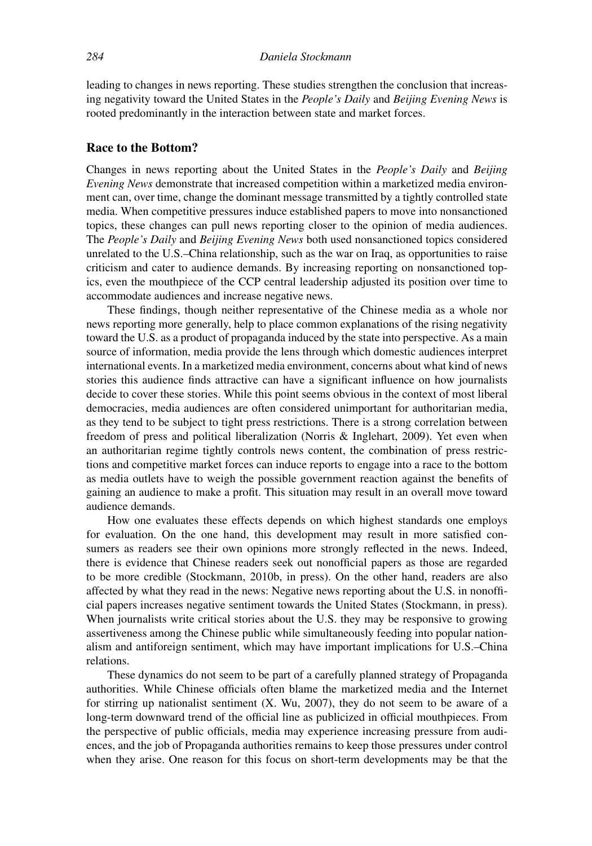leading to changes in news reporting. These studies strengthen the conclusion that increasing negativity toward the United States in the *People's Daily* and *Beijing Evening News* is rooted predominantly in the interaction between state and market forces.

#### **Race to the Bottom?**

Changes in news reporting about the United States in the *People's Daily* and *Beijing Evening News* demonstrate that increased competition within a marketized media environment can, over time, change the dominant message transmitted by a tightly controlled state media. When competitive pressures induce established papers to move into nonsanctioned topics, these changes can pull news reporting closer to the opinion of media audiences. The *People's Daily* and *Beijing Evening News* both used nonsanctioned topics considered unrelated to the U.S.–China relationship, such as the war on Iraq, as opportunities to raise criticism and cater to audience demands. By increasing reporting on nonsanctioned topics, even the mouthpiece of the CCP central leadership adjusted its position over time to accommodate audiences and increase negative news.

These findings, though neither representative of the Chinese media as a whole nor news reporting more generally, help to place common explanations of the rising negativity toward the U.S. as a product of propaganda induced by the state into perspective. As a main source of information, media provide the lens through which domestic audiences interpret international events. In a marketized media environment, concerns about what kind of news stories this audience finds attractive can have a significant influence on how journalists decide to cover these stories. While this point seems obvious in the context of most liberal democracies, media audiences are often considered unimportant for authoritarian media, as they tend to be subject to tight press restrictions. There is a strong correlation between freedom of press and political liberalization (Norris & Inglehart, 2009). Yet even when an authoritarian regime tightly controls news content, the combination of press restrictions and competitive market forces can induce reports to engage into a race to the bottom as media outlets have to weigh the possible government reaction against the benefits of gaining an audience to make a profit. This situation may result in an overall move toward audience demands.

How one evaluates these effects depends on which highest standards one employs for evaluation. On the one hand, this development may result in more satisfied consumers as readers see their own opinions more strongly reflected in the news. Indeed, there is evidence that Chinese readers seek out nonofficial papers as those are regarded to be more credible (Stockmann, 2010b, in press). On the other hand, readers are also affected by what they read in the news: Negative news reporting about the U.S. in nonofficial papers increases negative sentiment towards the United States (Stockmann, in press). When journalists write critical stories about the U.S. they may be responsive to growing assertiveness among the Chinese public while simultaneously feeding into popular nationalism and antiforeign sentiment, which may have important implications for U.S.–China relations.

These dynamics do not seem to be part of a carefully planned strategy of Propaganda authorities. While Chinese officials often blame the marketized media and the Internet for stirring up nationalist sentiment (X. Wu, 2007), they do not seem to be aware of a long-term downward trend of the official line as publicized in official mouthpieces. From the perspective of public officials, media may experience increasing pressure from audiences, and the job of Propaganda authorities remains to keep those pressures under control when they arise. One reason for this focus on short-term developments may be that the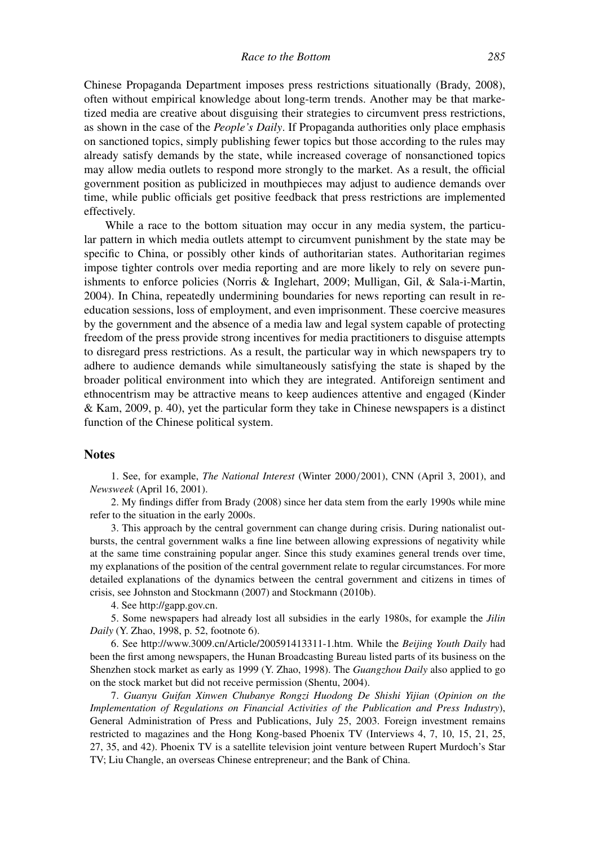Chinese Propaganda Department imposes press restrictions situationally (Brady, 2008), often without empirical knowledge about long-term trends. Another may be that marketized media are creative about disguising their strategies to circumvent press restrictions, as shown in the case of the *People's Daily*. If Propaganda authorities only place emphasis on sanctioned topics, simply publishing fewer topics but those according to the rules may already satisfy demands by the state, while increased coverage of nonsanctioned topics may allow media outlets to respond more strongly to the market. As a result, the official government position as publicized in mouthpieces may adjust to audience demands over time, while public officials get positive feedback that press restrictions are implemented effectively.

While a race to the bottom situation may occur in any media system, the particular pattern in which media outlets attempt to circumvent punishment by the state may be specific to China, or possibly other kinds of authoritarian states. Authoritarian regimes impose tighter controls over media reporting and are more likely to rely on severe punishments to enforce policies (Norris & Inglehart, 2009; Mulligan, Gil, & Sala-i-Martin, 2004). In China, repeatedly undermining boundaries for news reporting can result in reeducation sessions, loss of employment, and even imprisonment. These coercive measures by the government and the absence of a media law and legal system capable of protecting freedom of the press provide strong incentives for media practitioners to disguise attempts to disregard press restrictions. As a result, the particular way in which newspapers try to adhere to audience demands while simultaneously satisfying the state is shaped by the broader political environment into which they are integrated. Antiforeign sentiment and ethnocentrism may be attractive means to keep audiences attentive and engaged (Kinder & Kam, 2009, p. 40), yet the particular form they take in Chinese newspapers is a distinct function of the Chinese political system.

#### **Notes**

1. See, for example, *The National Interest* (Winter 2000/2001), CNN (April 3, 2001), and *Newsweek* (April 16, 2001).

2. My findings differ from Brady (2008) since her data stem from the early 1990s while mine refer to the situation in the early 2000s.

3. This approach by the central government can change during crisis. During nationalist outbursts, the central government walks a fine line between allowing expressions of negativity while at the same time constraining popular anger. Since this study examines general trends over time, my explanations of the position of the central government relate to regular circumstances. For more detailed explanations of the dynamics between the central government and citizens in times of crisis, see Johnston and Stockmann (2007) and Stockmann (2010b).

4. See http://gapp.gov.cn.

5. Some newspapers had already lost all subsidies in the early 1980s, for example the *Jilin Daily* (Y. Zhao, 1998, p. 52, footnote 6).

6. See http://www.3009.cn/Article/200591413311-1.htm. While the *Beijing Youth Daily* had been the first among newspapers, the Hunan Broadcasting Bureau listed parts of its business on the Shenzhen stock market as early as 1999 (Y. Zhao, 1998). The *Guangzhou Daily* also applied to go on the stock market but did not receive permission (Shentu, 2004).

7. *Guanyu Guifan Xinwen Chubanye Rongzi Huodong De Shishi Yijian* (*Opinion on the Implementation of Regulations on Financial Activities of the Publication and Press Industry*), General Administration of Press and Publications, July 25, 2003. Foreign investment remains restricted to magazines and the Hong Kong-based Phoenix TV (Interviews 4, 7, 10, 15, 21, 25, 27, 35, and 42). Phoenix TV is a satellite television joint venture between Rupert Murdoch's Star TV; Liu Changle, an overseas Chinese entrepreneur; and the Bank of China.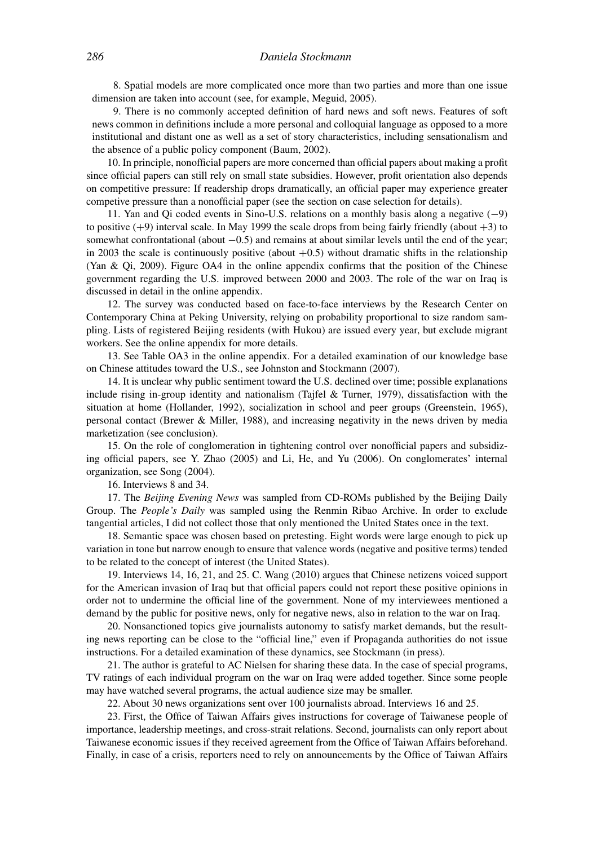8. Spatial models are more complicated once more than two parties and more than one issue dimension are taken into account (see, for example, Meguid, 2005).

9. There is no commonly accepted definition of hard news and soft news. Features of soft news common in definitions include a more personal and colloquial language as opposed to a more institutional and distant one as well as a set of story characteristics, including sensationalism and the absence of a public policy component (Baum, 2002).

10. In principle, nonofficial papers are more concerned than official papers about making a profit since official papers can still rely on small state subsidies. However, profit orientation also depends on competitive pressure: If readership drops dramatically, an official paper may experience greater competive pressure than a nonofficial paper (see the section on case selection for details).

11. Yan and Qi coded events in Sino-U.S. relations on a monthly basis along a negative (−9) to positive (+9) interval scale. In May 1999 the scale drops from being fairly friendly (about +3) to somewhat confrontational (about  $-0.5$ ) and remains at about similar levels until the end of the year; in 2003 the scale is continuously positive (about  $+0.5$ ) without dramatic shifts in the relationship (Yan & Qi, 2009). Figure OA4 in the online appendix confirms that the position of the Chinese government regarding the U.S. improved between 2000 and 2003. The role of the war on Iraq is discussed in detail in the online appendix.

12. The survey was conducted based on face-to-face interviews by the Research Center on Contemporary China at Peking University, relying on probability proportional to size random sampling. Lists of registered Beijing residents (with Hukou) are issued every year, but exclude migrant workers. See the online appendix for more details.

13. See Table OA3 in the online appendix. For a detailed examination of our knowledge base on Chinese attitudes toward the U.S., see Johnston and Stockmann (2007).

14. It is unclear why public sentiment toward the U.S. declined over time; possible explanations include rising in-group identity and nationalism (Tajfel  $&$  Turner, 1979), dissatisfaction with the situation at home (Hollander, 1992), socialization in school and peer groups (Greenstein, 1965), personal contact (Brewer & Miller, 1988), and increasing negativity in the news driven by media marketization (see conclusion).

15. On the role of conglomeration in tightening control over nonofficial papers and subsidizing official papers, see Y. Zhao (2005) and Li, He, and Yu (2006). On conglomerates' internal organization, see Song (2004).

16. Interviews 8 and 34.

17. The *Beijing Evening News* was sampled from CD-ROMs published by the Beijing Daily Group. The *People's Daily* was sampled using the Renmin Ribao Archive. In order to exclude tangential articles, I did not collect those that only mentioned the United States once in the text.

18. Semantic space was chosen based on pretesting. Eight words were large enough to pick up variation in tone but narrow enough to ensure that valence words (negative and positive terms) tended to be related to the concept of interest (the United States).

19. Interviews 14, 16, 21, and 25. C. Wang (2010) argues that Chinese netizens voiced support for the American invasion of Iraq but that official papers could not report these positive opinions in order not to undermine the official line of the government. None of my interviewees mentioned a demand by the public for positive news, only for negative news, also in relation to the war on Iraq.

20. Nonsanctioned topics give journalists autonomy to satisfy market demands, but the resulting news reporting can be close to the "official line," even if Propaganda authorities do not issue instructions. For a detailed examination of these dynamics, see Stockmann (in press).

21. The author is grateful to AC Nielsen for sharing these data. In the case of special programs, TV ratings of each individual program on the war on Iraq were added together. Since some people may have watched several programs, the actual audience size may be smaller.

22. About 30 news organizations sent over 100 journalists abroad. Interviews 16 and 25.

23. First, the Office of Taiwan Affairs gives instructions for coverage of Taiwanese people of importance, leadership meetings, and cross-strait relations. Second, journalists can only report about Taiwanese economic issues if they received agreement from the Office of Taiwan Affairs beforehand. Finally, in case of a crisis, reporters need to rely on announcements by the Office of Taiwan Affairs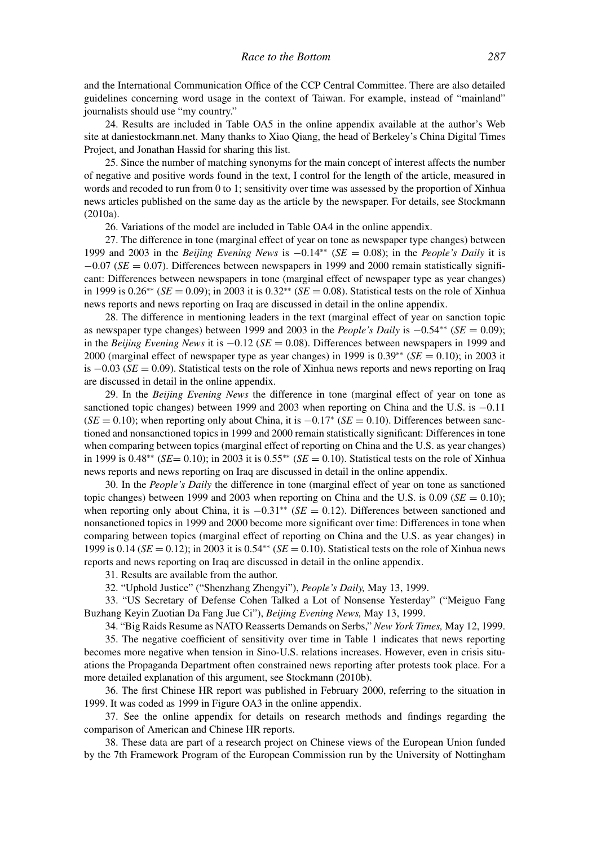and the International Communication Office of the CCP Central Committee. There are also detailed guidelines concerning word usage in the context of Taiwan. For example, instead of "mainland" journalists should use "my country."

24. Results are included in Table OA5 in the online appendix available at the author's Web site at daniestockmann.net. Many thanks to Xiao Qiang, the head of Berkeley's China Digital Times Project, and Jonathan Hassid for sharing this list.

25. Since the number of matching synonyms for the main concept of interest affects the number of negative and positive words found in the text, I control for the length of the article, measured in words and recoded to run from 0 to 1; sensitivity over time was assessed by the proportion of Xinhua news articles published on the same day as the article by the newspaper. For details, see Stockmann (2010a).

26. Variations of the model are included in Table OA4 in the online appendix.

27. The difference in tone (marginal effect of year on tone as newspaper type changes) between 1999 and 2003 in the *Beijing Evening News* is −0.14∗∗ (*SE* = 0.08); in the *People's Daily* it is −0.07 (*SE* = 0.07). Differences between newspapers in 1999 and 2000 remain statistically significant: Differences between newspapers in tone (marginal effect of newspaper type as year changes) in 1999 is 0.26∗∗ (*SE* = 0.09); in 2003 it is 0.32∗∗ (*SE* = 0.08). Statistical tests on the role of Xinhua news reports and news reporting on Iraq are discussed in detail in the online appendix.

28. The difference in mentioning leaders in the text (marginal effect of year on sanction topic as newspaper type changes) between 1999 and 2003 in the *People's Daily* is −0.54∗∗ (*SE* = 0.09); in the *Beijing Evening News* it is −0.12 (*SE* = 0.08). Differences between newspapers in 1999 and 2000 (marginal effect of newspaper type as year changes) in 1999 is 0.39∗∗ (*SE* = 0.10); in 2003 it is −0.03 (*SE* = 0.09). Statistical tests on the role of Xinhua news reports and news reporting on Iraq are discussed in detail in the online appendix.

29. In the *Beijing Evening News* the difference in tone (marginal effect of year on tone as sanctioned topic changes) between 1999 and 2003 when reporting on China and the U.S. is −0.11  $(SE = 0.10)$ ; when reporting only about China, it is  $-0.17$ <sup>\*</sup> ( $SE = 0.10$ ). Differences between sanctioned and nonsanctioned topics in 1999 and 2000 remain statistically significant: Differences in tone when comparing between topics (marginal effect of reporting on China and the U.S. as year changes) in 1999 is 0.48∗∗ (*SE*= 0.10); in 2003 it is 0.55∗∗ (*SE* = 0.10). Statistical tests on the role of Xinhua news reports and news reporting on Iraq are discussed in detail in the online appendix.

30. In the *People's Daily* the difference in tone (marginal effect of year on tone as sanctioned topic changes) between 1999 and 2003 when reporting on China and the U.S. is  $0.09$  (*SE* = 0.10); when reporting only about China, it is −0.31∗∗ (*SE* = 0.12). Differences between sanctioned and nonsanctioned topics in 1999 and 2000 become more significant over time: Differences in tone when comparing between topics (marginal effect of reporting on China and the U.S. as year changes) in 1999 is 0.14 (*SE* = 0.12); in 2003 it is 0.54∗∗ (*SE* = 0.10). Statistical tests on the role of Xinhua news reports and news reporting on Iraq are discussed in detail in the online appendix.

31. Results are available from the author.

32. "Uphold Justice" ("Shenzhang Zhengyi"), *People's Daily,* May 13, 1999.

33. "US Secretary of Defense Cohen Talked a Lot of Nonsense Yesterday" ("Meiguo Fang Buzhang Keyin Zuotian Da Fang Jue Ci"), *Beijing Evening News,* May 13, 1999.

34. "Big Raids Resume as NATO Reasserts Demands on Serbs," *New York Times,* May 12, 1999. 35. The negative coefficient of sensitivity over time in Table 1 indicates that news reporting becomes more negative when tension in Sino-U.S. relations increases. However, even in crisis situations the Propaganda Department often constrained news reporting after protests took place. For a more detailed explanation of this argument, see Stockmann (2010b).

36. The first Chinese HR report was published in February 2000, referring to the situation in 1999. It was coded as 1999 in Figure OA3 in the online appendix.

37. See the online appendix for details on research methods and findings regarding the comparison of American and Chinese HR reports.

38. These data are part of a research project on Chinese views of the European Union funded by the 7th Framework Program of the European Commission run by the University of Nottingham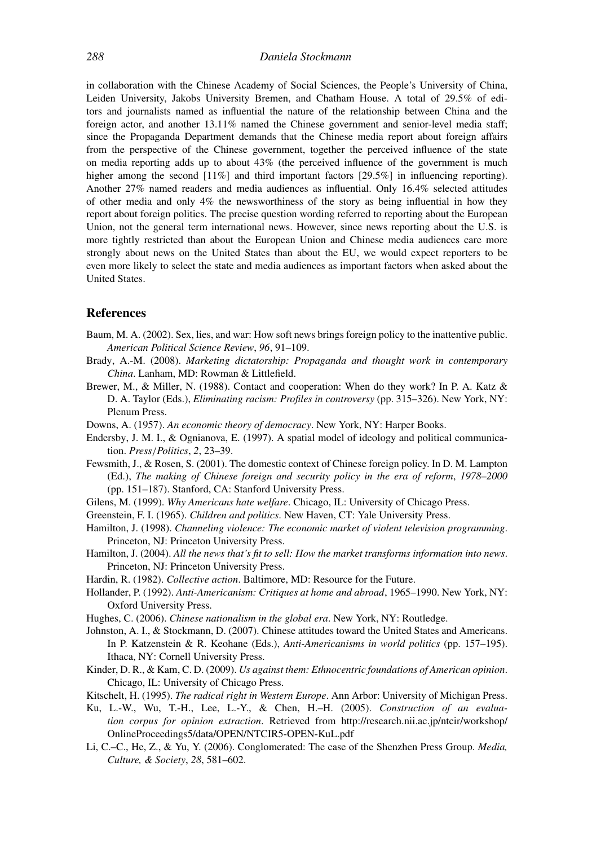in collaboration with the Chinese Academy of Social Sciences, the People's University of China, Leiden University, Jakobs University Bremen, and Chatham House. A total of 29.5% of editors and journalists named as influential the nature of the relationship between China and the foreign actor, and another 13.11% named the Chinese government and senior-level media staff; since the Propaganda Department demands that the Chinese media report about foreign affairs from the perspective of the Chinese government, together the perceived influence of the state on media reporting adds up to about 43% (the perceived influence of the government is much higher among the second  $[11\%]$  and third important factors  $[29.5\%]$  in influencing reporting). Another 27% named readers and media audiences as influential. Only 16.4% selected attitudes of other media and only 4% the newsworthiness of the story as being influential in how they report about foreign politics. The precise question wording referred to reporting about the European Union, not the general term international news. However, since news reporting about the U.S. is more tightly restricted than about the European Union and Chinese media audiences care more strongly about news on the United States than about the EU, we would expect reporters to be even more likely to select the state and media audiences as important factors when asked about the United States.

#### **References**

- Baum, M. A. (2002). Sex, lies, and war: How soft news brings foreign policy to the inattentive public. *American Political Science Review*, *96*, 91–109.
- Brady, A.-M. (2008). *Marketing dictatorship: Propaganda and thought work in contemporary China*. Lanham, MD: Rowman & Littlefield.
- Brewer, M., & Miller, N. (1988). Contact and cooperation: When do they work? In P. A. Katz & D. A. Taylor (Eds.), *Eliminating racism: Profiles in controversy* (pp. 315–326). New York, NY: Plenum Press.
- Downs, A. (1957). *An economic theory of democracy*. New York, NY: Harper Books.
- Endersby, J. M. I., & Ognianova, E. (1997). A spatial model of ideology and political communication. *Press*/*Politics*, *2*, 23–39.
- Fewsmith, J., & Rosen, S. (2001). The domestic context of Chinese foreign policy. In D. M. Lampton (Ed.), *The making of Chinese foreign and security policy in the era of reform*, *1978*–*2000* (pp. 151–187). Stanford, CA: Stanford University Press.
- Gilens, M. (1999). *Why Americans hate welfare*. Chicago, IL: University of Chicago Press.
- Greenstein, F. I. (1965). *Children and politics*. New Haven, CT: Yale University Press.
- Hamilton, J. (1998). *Channeling violence: The economic market of violent television programming*. Princeton, NJ: Princeton University Press.
- Hamilton, J. (2004). *All the news that's fit to sell: How the market transforms information into news*. Princeton, NJ: Princeton University Press.
- Hardin, R. (1982). *Collective action*. Baltimore, MD: Resource for the Future.
- Hollander, P. (1992). *Anti-Americanism: Critiques at home and abroad*, 1965–1990. New York, NY: Oxford University Press.
- Hughes, C. (2006). *Chinese nationalism in the global era*. New York, NY: Routledge.
- Johnston, A. I., & Stockmann, D. (2007). Chinese attitudes toward the United States and Americans. In P. Katzenstein & R. Keohane (Eds.), *Anti-Americanisms in world politics* (pp. 157–195). Ithaca, NY: Cornell University Press.
- Kinder, D. R., & Kam, C. D. (2009). *Us against them: Ethnocentric foundations of American opinion*. Chicago, IL: University of Chicago Press.
- Kitschelt, H. (1995). *The radical right in Western Europe*. Ann Arbor: University of Michigan Press.
- Ku, L.-W., Wu, T.-H., Lee, L.-Y., & Chen, H.–H. (2005). *Construction of an evaluation corpus for opinion extraction*. Retrieved from http://research.nii.ac.jp/ntcir/workshop/ OnlineProceedings5/data/OPEN/NTCIR5-OPEN-KuL.pdf
- Li, C.–C., He, Z., & Yu, Y. (2006). Conglomerated: The case of the Shenzhen Press Group. *Media, Culture, & Society*, *28*, 581–602.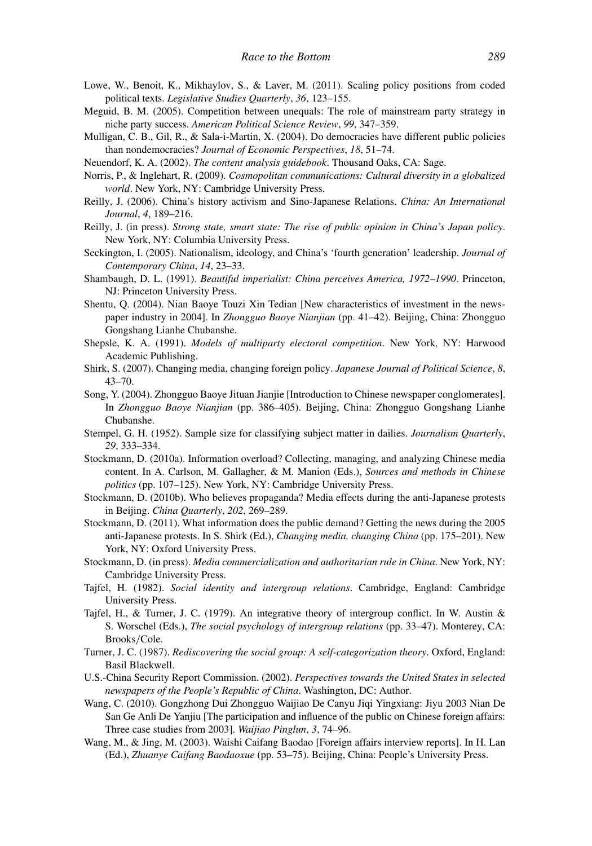- Lowe, W., Benoit, K., Mikhaylov, S., & Laver, M. (2011). Scaling policy positions from coded political texts. *Legislative Studies Quarterly*, *36*, 123–155.
- Meguid, B. M. (2005). Competition between unequals: The role of mainstream party strategy in niche party success. *American Political Science Review*, *99*, 347–359.
- Mulligan, C. B., Gil, R., & Sala-i-Martin, X. (2004). Do democracies have different public policies than nondemocracies? *Journal of Economic Perspectives*, *18*, 51–74.
- Neuendorf, K. A. (2002). *The content analysis guidebook*. Thousand Oaks, CA: Sage.
- Norris, P., & Inglehart, R. (2009). *Cosmopolitan communications: Cultural diversity in a globalized world*. New York, NY: Cambridge University Press.
- Reilly, J. (2006). China's history activism and Sino-Japanese Relations. *China: An International Journal*, *4*, 189–216.
- Reilly, J. (in press). *Strong state, smart state: The rise of public opinion in China's Japan policy*. New York, NY: Columbia University Press.
- Seckington, I. (2005). Nationalism, ideology, and China's 'fourth generation' leadership. *Journal of Contemporary China*, *14*, 23–33.
- Shambaugh, D. L. (1991). *Beautiful imperialist: China perceives America, 1972–1990*. Princeton, NJ: Princeton University Press.
- Shentu, Q. (2004). Nian Baoye Touzi Xin Tedian [New characteristics of investment in the newspaper industry in 2004]. In *Zhongguo Baoye Nianjian* (pp. 41–42). Beijing, China: Zhongguo Gongshang Lianhe Chubanshe.
- Shepsle, K. A. (1991). *Models of multiparty electoral competition*. New York, NY: Harwood Academic Publishing.
- Shirk, S. (2007). Changing media, changing foreign policy. *Japanese Journal of Political Science*, *8*, 43–70.
- Song, Y. (2004). Zhongguo Baoye Jituan Jianjie [Introduction to Chinese newspaper conglomerates]. In *Zhongguo Baoye Nianjian* (pp. 386–405). Beijing, China: Zhongguo Gongshang Lianhe Chubanshe.
- Stempel, G. H. (1952). Sample size for classifying subject matter in dailies. *Journalism Quarterly*, *29*, 333–334.
- Stockmann, D. (2010a). Information overload? Collecting, managing, and analyzing Chinese media content. In A. Carlson, M. Gallagher, & M. Manion (Eds.), *Sources and methods in Chinese politics* (pp. 107–125). New York, NY: Cambridge University Press.
- Stockmann, D. (2010b). Who believes propaganda? Media effects during the anti-Japanese protests in Beijing. *China Quarterly*, *202*, 269–289.
- Stockmann, D. (2011). What information does the public demand? Getting the news during the 2005 anti-Japanese protests. In S. Shirk (Ed.), *Changing media, changing China* (pp. 175–201). New York, NY: Oxford University Press.
- Stockmann, D. (in press). *Media commercialization and authoritarian rule in China*. New York, NY: Cambridge University Press.
- Tajfel, H. (1982). *Social identity and intergroup relations*. Cambridge, England: Cambridge University Press.
- Tajfel, H., & Turner, J. C. (1979). An integrative theory of intergroup conflict. In W. Austin & S. Worschel (Eds.), *The social psychology of intergroup relations* (pp. 33–47). Monterey, CA: Brooks/Cole.
- Turner, J. C. (1987). *Rediscovering the social group: A self-categorization theory*. Oxford, England: Basil Blackwell.
- U.S.-China Security Report Commission. (2002). *Perspectives towards the United States in selected newspapers of the People's Republic of China*. Washington, DC: Author.
- Wang, C. (2010). Gongzhong Dui Zhongguo Waijiao De Canyu Jiqi Yingxiang: Jiyu 2003 Nian De San Ge Anli De Yanjiu [The participation and influence of the public on Chinese foreign affairs: Three case studies from 2003]. *Waijiao Pinglun*, *3*, 74–96.
- Wang, M., & Jing, M. (2003). Waishi Caifang Baodao [Foreign affairs interview reports]. In H. Lan (Ed.), *Zhuanye Caifang Baodaoxue* (pp. 53–75). Beijing, China: People's University Press.